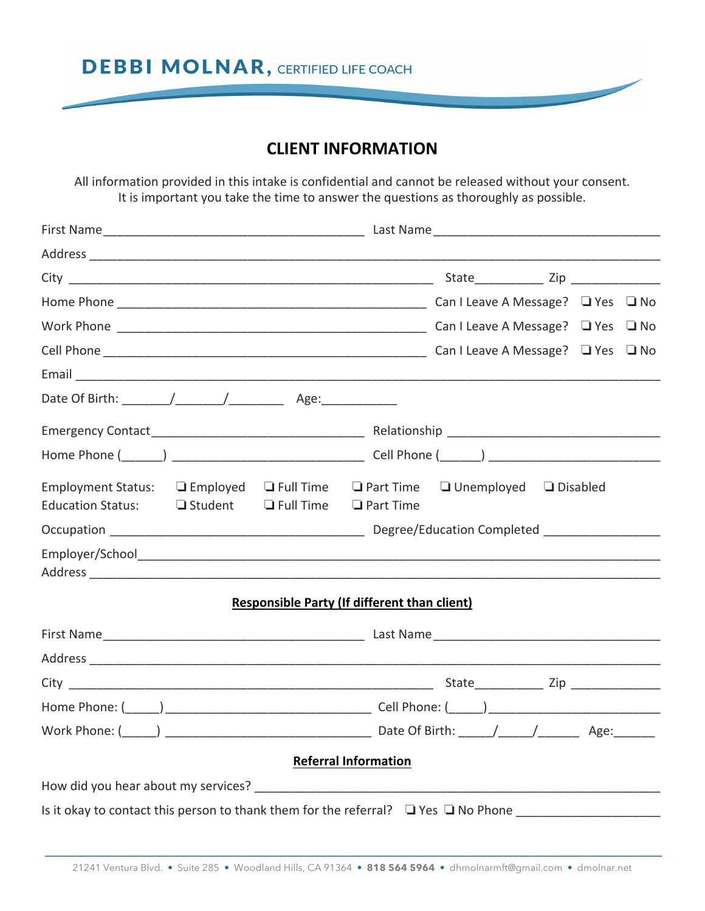**DEBBI MOLNAR, CERTIFIED LIFE COACH** 

# **CLIENT INFORMATION**

All information provided in this intake is confidential and cannot be released without your consent. It is important you take the time to answer the questions as thoroughly as possible.

| Employment Status: $\Box$ Employed $\Box$ Full Time $\Box$ Part Time<br><b>Education Status:</b> | $\Box$ Student $\Box$ Full Time $\Box$ Part Time |  |                                                     | $\Box$ Unemployed $\Box$ Disabled |  |  |  |
|--------------------------------------------------------------------------------------------------|--------------------------------------------------|--|-----------------------------------------------------|-----------------------------------|--|--|--|
|                                                                                                  |                                                  |  |                                                     |                                   |  |  |  |
|                                                                                                  |                                                  |  |                                                     |                                   |  |  |  |
|                                                                                                  |                                                  |  | <b>Responsible Party (If different than client)</b> |                                   |  |  |  |
|                                                                                                  |                                                  |  |                                                     |                                   |  |  |  |
|                                                                                                  |                                                  |  |                                                     |                                   |  |  |  |
|                                                                                                  |                                                  |  |                                                     |                                   |  |  |  |
|                                                                                                  |                                                  |  |                                                     |                                   |  |  |  |
|                                                                                                  |                                                  |  |                                                     |                                   |  |  |  |
|                                                                                                  |                                                  |  | <b>Referral Information</b>                         |                                   |  |  |  |
|                                                                                                  |                                                  |  |                                                     |                                   |  |  |  |
|                                                                                                  |                                                  |  |                                                     |                                   |  |  |  |
|                                                                                                  |                                                  |  |                                                     |                                   |  |  |  |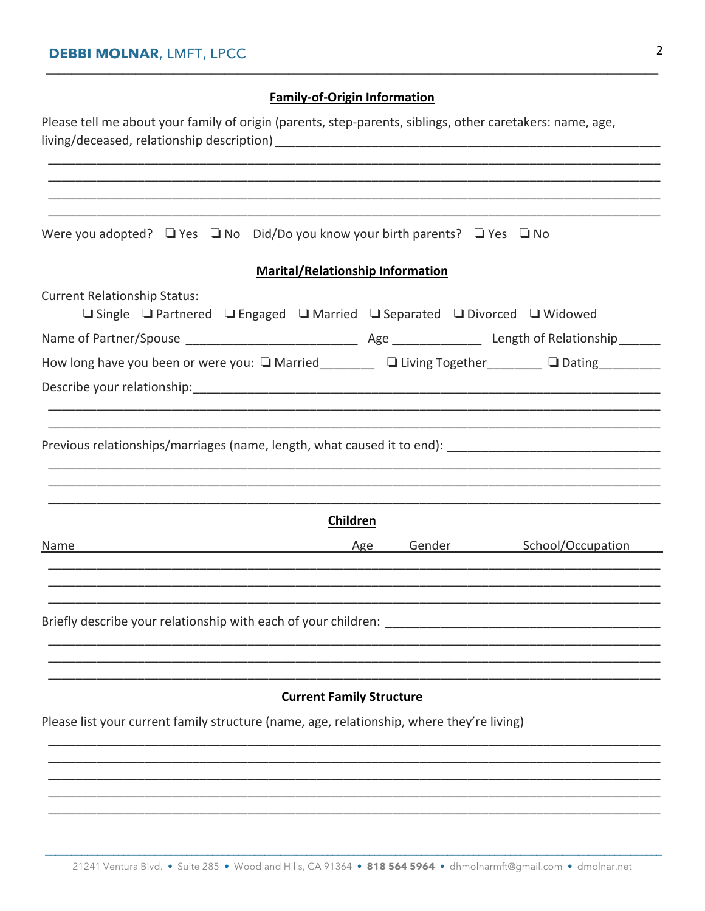## **Family-of-Origin Information**

| Please tell me about your family of origin (parents, step-parents, siblings, other caretakers: name, age,                          |                                         |                          |
|------------------------------------------------------------------------------------------------------------------------------------|-----------------------------------------|--------------------------|
|                                                                                                                                    |                                         |                          |
|                                                                                                                                    |                                         |                          |
|                                                                                                                                    |                                         |                          |
|                                                                                                                                    |                                         |                          |
| Were you adopted? $\Box$ Yes $\Box$ No Did/Do you know your birth parents? $\Box$ Yes $\Box$ No                                    |                                         |                          |
|                                                                                                                                    | <b>Marital/Relationship Information</b> |                          |
| <b>Current Relationship Status:</b><br><b>□ Single □ Partnered □ Engaged □ Married □ Separated □ Divorced □ Widowed</b>            |                                         |                          |
|                                                                                                                                    |                                         |                          |
| How long have you been or were you: $\square$ Married______________ $\square$ Living Together__________ $\square$ Dating__________ |                                         |                          |
|                                                                                                                                    |                                         |                          |
|                                                                                                                                    |                                         |                          |
| ,我们也不能在这里的,我们也不能在这里的时候,我们也不能不能不能不能不能不能不能不能不能不能不能不能不能不能。""我们,我们也不能不能不能不能不能不能不能不能不能                                                  |                                         |                          |
|                                                                                                                                    |                                         |                          |
|                                                                                                                                    |                                         |                          |
|                                                                                                                                    |                                         |                          |
|                                                                                                                                    |                                         |                          |
|                                                                                                                                    | Children                                |                          |
|                                                                                                                                    |                                         | Gender School/Occupation |
| Name Age                                                                                                                           |                                         |                          |
|                                                                                                                                    |                                         |                          |
|                                                                                                                                    |                                         |                          |
|                                                                                                                                    |                                         |                          |
|                                                                                                                                    |                                         |                          |
|                                                                                                                                    |                                         |                          |
|                                                                                                                                    |                                         |                          |
|                                                                                                                                    | <b>Current Family Structure</b>         |                          |
| Please list your current family structure (name, age, relationship, where they're living)                                          |                                         |                          |
|                                                                                                                                    |                                         |                          |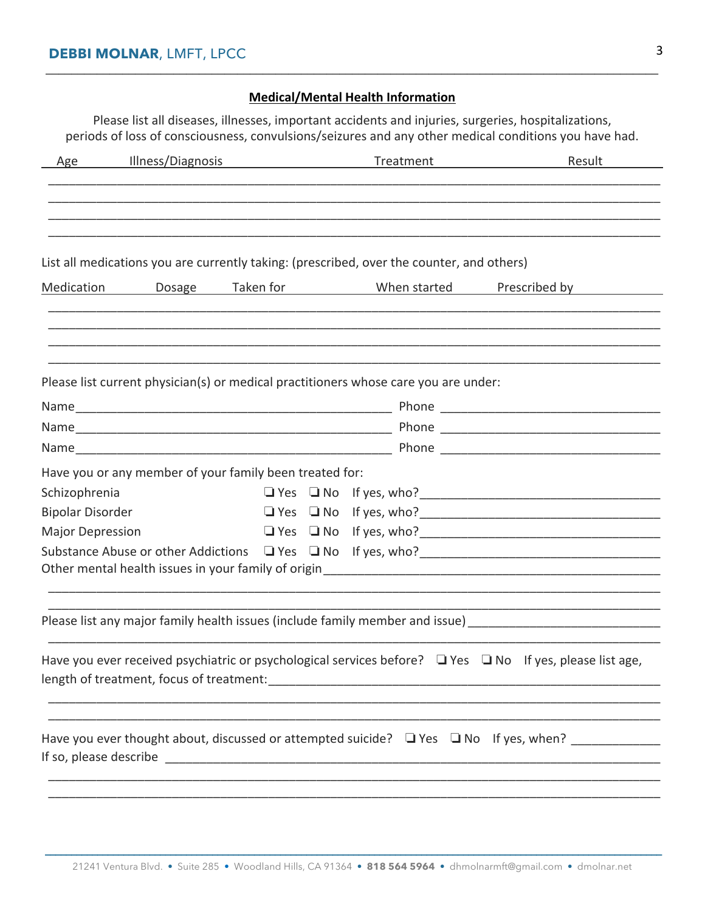#### **Medical/Mental Health Information**

**\_\_\_\_\_\_\_\_\_\_\_\_\_\_\_\_\_\_\_\_\_\_\_\_\_\_\_\_\_\_\_\_\_\_\_\_\_\_\_\_\_\_\_\_\_\_\_\_\_\_\_\_\_\_\_\_\_\_\_\_\_\_\_\_\_\_\_\_\_\_\_\_\_\_\_\_\_\_\_\_\_\_\_\_\_\_\_\_\_\_\_\_\_\_\_\_**

Please list all diseases, illnesses, important accidents and injuries, surgeries, hospitalizations, periods of loss of consciousness, convulsions/seizures and any other medical conditions you have had.

| Age                     | Illness/Diagnosis                                                                         | Treatment                    | Result                                                                                                                                                                                                                         |
|-------------------------|-------------------------------------------------------------------------------------------|------------------------------|--------------------------------------------------------------------------------------------------------------------------------------------------------------------------------------------------------------------------------|
|                         |                                                                                           |                              |                                                                                                                                                                                                                                |
|                         |                                                                                           |                              |                                                                                                                                                                                                                                |
|                         | List all medications you are currently taking: (prescribed, over the counter, and others) |                              |                                                                                                                                                                                                                                |
| Medication              | Dosage                                                                                    | Taken for Taken When started | Prescribed by Theory of the Second Second Second Second Second Second Second Second Second Second Second Second Second Second Second Second Second Second Second Second Second Second Second Second Second Second Second Secon |
|                         |                                                                                           |                              |                                                                                                                                                                                                                                |
|                         | Please list current physician(s) or medical practitioners whose care you are under:       |                              |                                                                                                                                                                                                                                |
|                         |                                                                                           |                              |                                                                                                                                                                                                                                |
|                         |                                                                                           |                              |                                                                                                                                                                                                                                |
|                         |                                                                                           |                              | Name Phone Phone Phone Phone Phone Phone Phone Phone Phone Phone Phone Phone Phone Phone Phone Phone Phone Phone Phone Phone Phone Phone Phone Phone Phone Phone Phone Phone Phone Phone Phone Phone Phone Phone Phone Phone P |
|                         | Have you or any member of your family been treated for:                                   |                              |                                                                                                                                                                                                                                |
| Schizophrenia           |                                                                                           |                              |                                                                                                                                                                                                                                |
| <b>Bipolar Disorder</b> |                                                                                           |                              |                                                                                                                                                                                                                                |
| <b>Major Depression</b> |                                                                                           |                              |                                                                                                                                                                                                                                |
|                         |                                                                                           |                              |                                                                                                                                                                                                                                |
|                         |                                                                                           |                              | Other mental health issues in your family of origin<br>electron and annual content content content to the summary control of the your family of original content and                                                           |
|                         |                                                                                           |                              | Please list any major family health issues (include family member and issue) [19] [20] [20] [20] [20] [20] [20                                                                                                                 |
|                         |                                                                                           |                              | Have you ever received psychiatric or psychological services before?<br><u>I</u> Yes $\Box$ No If yes, please list age,                                                                                                        |
|                         |                                                                                           |                              |                                                                                                                                                                                                                                |
|                         |                                                                                           |                              |                                                                                                                                                                                                                                |
|                         |                                                                                           |                              | Have you ever thought about, discussed or attempted suicide? $\Box$ Yes $\Box$ No If yes, when?                                                                                                                                |
|                         |                                                                                           |                              |                                                                                                                                                                                                                                |
|                         |                                                                                           |                              |                                                                                                                                                                                                                                |
|                         |                                                                                           |                              |                                                                                                                                                                                                                                |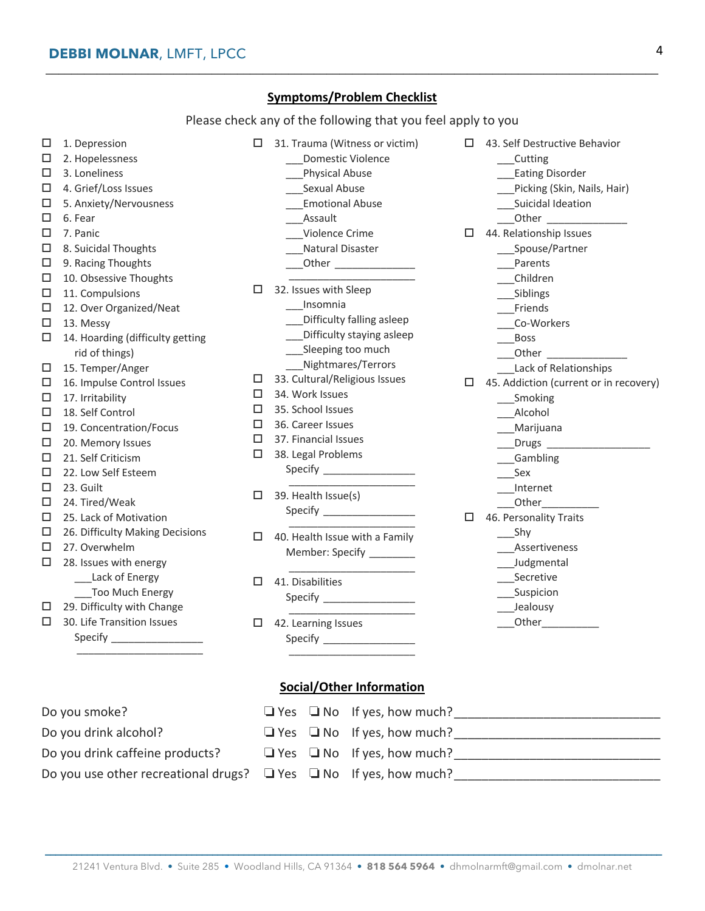### **Symptoms/Problem Checklist**

**\_\_\_\_\_\_\_\_\_\_\_\_\_\_\_\_\_\_\_\_\_\_\_\_\_\_\_\_\_\_\_\_\_\_\_\_\_\_\_\_\_\_\_\_\_\_\_\_\_\_\_\_\_\_\_\_\_\_\_\_\_\_\_\_\_\_\_\_\_\_\_\_\_\_\_\_\_\_\_\_\_\_\_\_\_\_\_\_\_\_\_\_\_\_\_\_**

Please check any of the following that you feel apply to you

| □<br>□<br>□<br>□<br>□<br>□<br>□<br>□<br>□<br>□<br>□<br>□<br>□ | 1. Depression<br>2. Hopelessness<br>3. Loneliness<br>4. Grief/Loss Issues<br>5. Anxiety/Nervousness<br>6. Fear<br>7. Panic<br>8. Suicidal Thoughts<br>9. Racing Thoughts<br>10. Obsessive Thoughts<br>11. Compulsions<br>12. Over Organized/Neat<br>13. Messy | □                          | 31. Trauma (Witness or victim)<br>Domestic Violence<br>Physical Abuse<br>___Sexual Abuse<br><b>Emotional Abuse</b><br>Assault<br>Violence Crime<br>Natural Disaster<br>_Other __________________<br>32. Issues with Sleep<br>Insomnia<br>Difficulty falling asleep | □  | 43. Self Destructive Behavior<br>__Cutting<br><b>Eating Disorder</b><br>Picking (Skin, Nails, Hair)<br>Suicidal Ideation<br>Other<br>44. Relationship Issues<br>___Spouse/Partner<br>Parents<br>__Children<br>__Siblings<br>__Friends<br>__Co-Workers |
|---------------------------------------------------------------|---------------------------------------------------------------------------------------------------------------------------------------------------------------------------------------------------------------------------------------------------------------|----------------------------|--------------------------------------------------------------------------------------------------------------------------------------------------------------------------------------------------------------------------------------------------------------------|----|-------------------------------------------------------------------------------------------------------------------------------------------------------------------------------------------------------------------------------------------------------|
| □<br>□                                                        | 14. Hoarding (difficulty getting<br>rid of things)<br>15. Temper/Anger                                                                                                                                                                                        |                            | Difficulty staying asleep<br>Sleeping too much<br>___Nightmares/Terrors                                                                                                                                                                                            |    | <b>Boss</b><br>Lack of Relationships                                                                                                                                                                                                                  |
| □<br>$\Box$<br>□<br>$\Box$<br>□<br>□<br>□<br>□                | 16. Impulse Control Issues<br>17. Irritability<br>18. Self Control<br>19. Concentration/Focus<br>20. Memory Issues<br>21. Self Criticism<br>22. Low Self Esteem<br>23. Guilt                                                                                  | □<br>□<br>□<br>□<br>□<br>□ | 33. Cultural/Religious Issues<br>34. Work Issues<br>35. School Issues<br>36. Career Issues<br>37. Financial Issues<br>38. Legal Problems                                                                                                                           |    | $\Box$ 45. Addiction (current or in recovery)<br>__Smoking<br>__Alcohol<br>___Marijuana<br>$\rule{1em}{0.15mm}$ Drugs $\rule{1em}{0.15mm}$<br>__Gambling<br>Sex<br>Internet                                                                           |
| □<br>□                                                        | 24. Tired/Weak<br>25. Lack of Motivation                                                                                                                                                                                                                      | □                          | 39. Health Issue(s)<br>Specify ____________________                                                                                                                                                                                                                | 0. | Other <b>Communication</b><br>46. Personality Traits                                                                                                                                                                                                  |
| □<br>□<br>□                                                   | 26. Difficulty Making Decisions<br>27. Overwhelm<br>28. Issues with energy<br>___Lack of Energy                                                                                                                                                               | $\Box$                     | 40. Health Issue with a Family<br>Member: Specify _________                                                                                                                                                                                                        |    | $\_$ Shy<br>Assertiveness<br>___ Judgmental<br>Secretive                                                                                                                                                                                              |
| □                                                             | ___Too Much Energy<br>29. Difficulty with Change                                                                                                                                                                                                              | □                          | 41. Disabilities                                                                                                                                                                                                                                                   |    | ___Suspicion<br>___Jealousy                                                                                                                                                                                                                           |
| $\Box$                                                        | 30. Life Transition Issues                                                                                                                                                                                                                                    | □                          | 42. Learning Issues<br>Specify _____________________<br><b>Social/Other Information</b>                                                                                                                                                                            |    | Other <b>Communication</b>                                                                                                                                                                                                                            |
|                                                               | Do you smoke?                                                                                                                                                                                                                                                 |                            | $\Box$ Yes $\Box$ No If yes, how much?                                                                                                                                                                                                                             |    |                                                                                                                                                                                                                                                       |

| Do you drink caffeine products?                                             |  | $\Box$ Yes $\Box$ No If yes, how much? |  |
|-----------------------------------------------------------------------------|--|----------------------------------------|--|
| Do you use other recreational drugs? $\Box$ Yes $\Box$ No If yes, how much? |  |                                        |  |

 **\_\_\_\_\_\_\_\_\_\_\_\_\_\_\_\_\_\_\_\_\_\_\_\_\_\_\_\_\_\_\_\_\_\_\_\_\_\_\_\_\_\_\_\_\_\_\_\_\_\_\_\_\_\_\_\_\_\_\_\_\_\_\_\_\_\_\_\_\_\_\_\_\_\_\_\_\_\_\_\_\_\_\_\_\_\_\_\_\_\_\_\_\_\_\_\_\_\_\_\_\_\_\_\_\_\_\_\_\_\_\_\_\_\_\_\_\_\_** 

Do you drink alcohol? o Yes o No If yes, how much?\_\_\_\_\_\_\_\_\_\_\_\_\_\_\_\_\_\_\_\_\_\_\_\_\_\_\_\_\_\_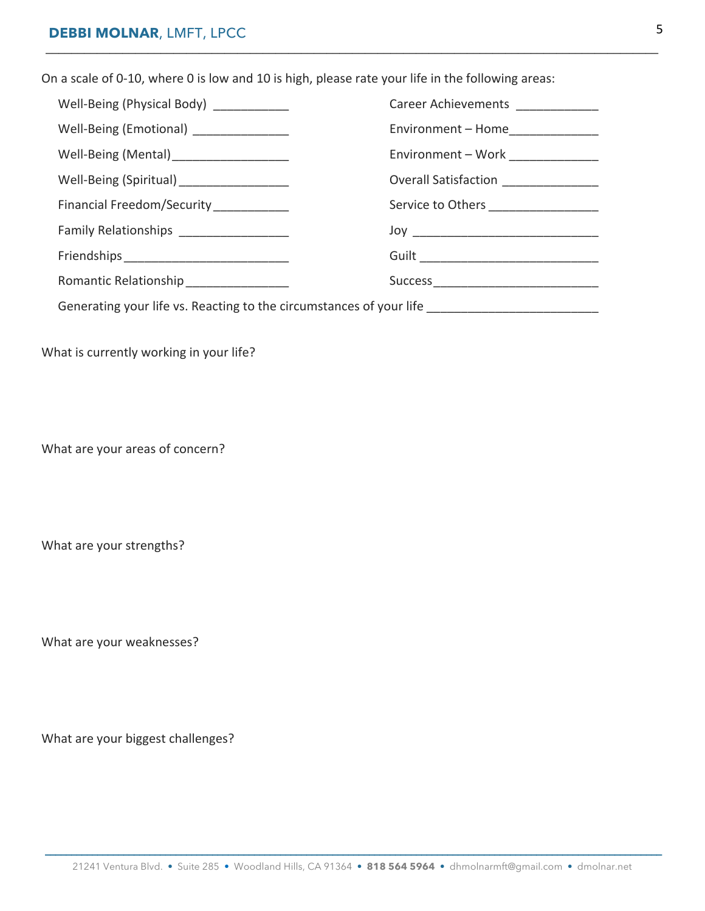On a scale of 0-10, where 0 is low and 10 is high, please rate your life in the following areas:

| Well-Being (Physical Body) _____________                                                            | Career Achievements _____________     |  |  |  |
|-----------------------------------------------------------------------------------------------------|---------------------------------------|--|--|--|
| Well-Being (Emotional) _______________                                                              | Environment - Home______________      |  |  |  |
| Well-Being (Mental)_____________________                                                            | Environment - Work ______________     |  |  |  |
| Well-Being (Spiritual) ___________________                                                          | Overall Satisfaction ________________ |  |  |  |
| Financial Freedom/Security___________                                                               | Service to Others ___________________ |  |  |  |
| Family Relationships __________________                                                             |                                       |  |  |  |
|                                                                                                     |                                       |  |  |  |
| Romantic Relationship _________________                                                             |                                       |  |  |  |
| Generating your life vs. Reacting to the circumstances of your life _______________________________ |                                       |  |  |  |

**\_\_\_\_\_\_\_\_\_\_\_\_\_\_\_\_\_\_\_\_\_\_\_\_\_\_\_\_\_\_\_\_\_\_\_\_\_\_\_\_\_\_\_\_\_\_\_\_\_\_\_\_\_\_\_\_\_\_\_\_\_\_\_\_\_\_\_\_\_\_\_\_\_\_\_\_\_\_\_\_\_\_\_\_\_\_\_\_\_\_\_\_\_\_\_\_**

What is currently working in your life?

What are your areas of concern?

What are your strengths?

What are your weaknesses?

What are your biggest challenges?